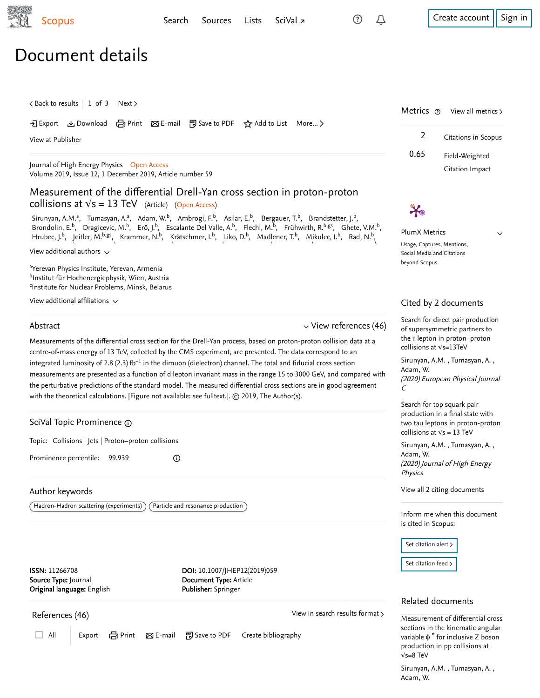## Document details

<span id="page-0-0"></span>

| < Back to results   1 of 3 Next >                                                                                                                                                                                                                                                                                           |                                                                                                                                                                                                                                                                                                                                                                                                                                                                                                                                                                                                                                                                                                                                                                                                                                                                                                                                                                                                                                                                                                                                                                                                                                               | Metrics ®<br>View all metrics >                                                                                                                                                                                                                                                                                                                                                   |
|-----------------------------------------------------------------------------------------------------------------------------------------------------------------------------------------------------------------------------------------------------------------------------------------------------------------------------|-----------------------------------------------------------------------------------------------------------------------------------------------------------------------------------------------------------------------------------------------------------------------------------------------------------------------------------------------------------------------------------------------------------------------------------------------------------------------------------------------------------------------------------------------------------------------------------------------------------------------------------------------------------------------------------------------------------------------------------------------------------------------------------------------------------------------------------------------------------------------------------------------------------------------------------------------------------------------------------------------------------------------------------------------------------------------------------------------------------------------------------------------------------------------------------------------------------------------------------------------|-----------------------------------------------------------------------------------------------------------------------------------------------------------------------------------------------------------------------------------------------------------------------------------------------------------------------------------------------------------------------------------|
| View at Publisher                                                                                                                                                                                                                                                                                                           | • • Export ▲ Download (금 Print ⊠ E-mail ဥ Save to PDF ☆ Add to List More >                                                                                                                                                                                                                                                                                                                                                                                                                                                                                                                                                                                                                                                                                                                                                                                                                                                                                                                                                                                                                                                                                                                                                                    | $\overline{2}$<br>Citations in Scopus                                                                                                                                                                                                                                                                                                                                             |
| Journal of High Energy Physics Open Access<br>Volume 2019, Issue 12, 1 December 2019, Article number 59                                                                                                                                                                                                                     |                                                                                                                                                                                                                                                                                                                                                                                                                                                                                                                                                                                                                                                                                                                                                                                                                                                                                                                                                                                                                                                                                                                                                                                                                                               | 0.65<br>Field-Weighted<br>Citation Impact                                                                                                                                                                                                                                                                                                                                         |
| collisions at $\sqrt{s}$ = 13 TeV (Article) (Open Access)<br>View additional authors $\sim$<br><sup>a</sup> Yerevan Physics Institute, Yerevan, Armenia<br>bInstitut für Hochenergiephysik, Wien, Austria<br><sup>c</sup> Institute for Nuclear Problems, Minsk, Belarus<br>View additional affiliations $\sim$<br>Abstract | Measurement of the differential Drell-Yan cross section in proton-proton<br>Sirunyan, A.M. <sup>a</sup> , Tumasyan, A. <sup>a</sup> , Adam, W. <sup>b</sup> , Ambrogi, F. <sup>b</sup> , Asilar, E. <sup>b</sup> , Bergauer, T. <sup>b</sup> , Brandstetter, J. <sup>b</sup> ,<br>Brondolin, E. <sup>b</sup> , Dragicevic, M. <sup>b</sup> , Erö, J. <sup>b</sup> , Escalante Del Valle, A. <sup>b</sup> , Flechl, M. <sup>b</sup> , Frühwirth, R. <sup>b,gs</sup> , Ghete, V.M. <sup>b</sup> ,<br>Hrubec, J. <sup>b</sup> , Jeitler, M. <sup>b,gs</sup> , Krammer, N. <sup>b</sup> , Krätschmer, I. <sup>b</sup> , Liko, D. <sup>b</sup> , Madlener, T. <sup>b</sup> , Mikulec, I. <sup>b</sup> , Rad, N. <sup>b</sup> ,<br>$\vee$ View references (46)<br>Measurements of the differential cross section for the Drell-Yan process, based on proton-proton collision data at a<br>centre-of-mass energy of 13 TeV, collected by the CMS experiment, are presented. The data correspond to an<br>integrated luminosity of 2.8 (2.3) $fb^{-1}$ in the dimuon (dielectron) channel. The total and fiducial cross section<br>measurements are presented as a function of dilepton invariant mass in the range 15 to 3000 GeV, and compared with | $\boldsymbol{\varkappa}$<br>PlumX Metrics<br>$\checkmark$<br>Usage, Captures, Mentions,<br>Social Media and Citations<br>beyond Scopus.<br>Cited by 2 documents<br>Search for direct pair production<br>of supersymmetric partners to<br>the T lepton in proton-proton<br>collisions at Vs=13TeV<br>Sirunyan, A.M., Tumasyan, A.,<br>Adam, W.<br>(2020) European Physical Journal |
| with the theoretical calculations. [Figure not available: see fulltext.]. © 2019, The Author(s).<br>SciVal Topic Prominence @<br>Topic: Collisions   Jets   Proton-proton collisions<br>Prominence percentile: 99.939                                                                                                       | the perturbative predictions of the standard model. The measured differential cross sections are in good agreement<br>$^\copyright$                                                                                                                                                                                                                                                                                                                                                                                                                                                                                                                                                                                                                                                                                                                                                                                                                                                                                                                                                                                                                                                                                                           | C<br>Search for top squark pair<br>production in a final state with<br>two tau leptons in proton-proton<br>collisions at $\sqrt{s}$ = 13 TeV<br>Sirunyan, A.M., Tumasyan, A.,<br>Adam, W.<br>(2020) Journal of High Energy                                                                                                                                                        |
| Author keywords<br>Hadron-Hadron scattering (experiments)                                                                                                                                                                                                                                                                   | Particle and resonance production                                                                                                                                                                                                                                                                                                                                                                                                                                                                                                                                                                                                                                                                                                                                                                                                                                                                                                                                                                                                                                                                                                                                                                                                             | Physics<br>View all 2 citing documents<br>Inform me when this document                                                                                                                                                                                                                                                                                                            |
| ISSN: 11266708<br>Source Type: Journal<br>Original language: English                                                                                                                                                                                                                                                        | DOI: 10.1007/JHEP12(2019)059<br>Document Type: Article<br>Publisher: Springer                                                                                                                                                                                                                                                                                                                                                                                                                                                                                                                                                                                                                                                                                                                                                                                                                                                                                                                                                                                                                                                                                                                                                                 | is cited in Scopus:<br>Set citation alert ><br>Set citation feed ><br>Related documents                                                                                                                                                                                                                                                                                           |
| References (46)<br>All<br>em Print<br>Export                                                                                                                                                                                                                                                                                | View in search results format ><br>⊠ E-mail アSave to PDF<br>Create bibliography                                                                                                                                                                                                                                                                                                                                                                                                                                                                                                                                                                                                                                                                                                                                                                                                                                                                                                                                                                                                                                                                                                                                                               | Measurement of differential cross<br>sections in the kinematic angular<br>variable $\phi^*$ for inclusive Z boson<br>production in pp collisions at<br>$\sqrt{s} = 8$ TeV<br>Sirunyan, A.M., Tumasyan, A.,<br>Adam, W.                                                                                                                                                            |